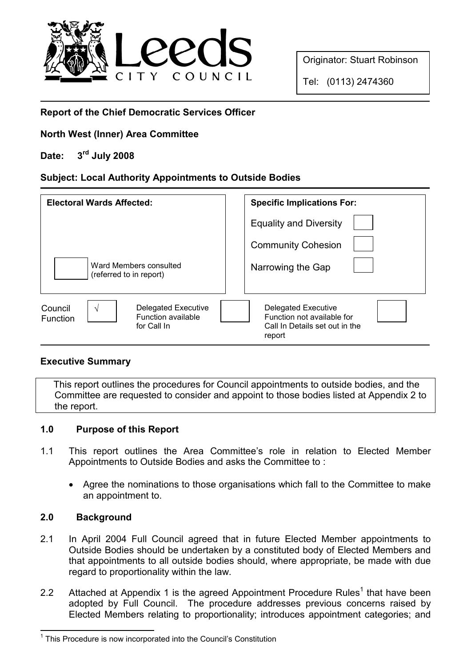

Originator: Stuart Robinson

Tel: (0113) 2474360

## Report of the Chief Democratic Services Officer

### North West (Inner) Area Committee

# Date: 3rd July 2008

### Subject: Local Authority Appointments to Outside Bodies

| <b>Electoral Wards Affected:</b>                                                                   | <b>Specific Implications For:</b>                                                             |
|----------------------------------------------------------------------------------------------------|-----------------------------------------------------------------------------------------------|
|                                                                                                    | <b>Equality and Diversity</b>                                                                 |
|                                                                                                    | <b>Community Cohesion</b>                                                                     |
| Ward Members consulted<br>(referred to in report)                                                  | Narrowing the Gap                                                                             |
| Council<br><b>Delegated Executive</b><br>N<br>Function available<br><b>Function</b><br>for Call In | Delegated Executive<br>Function not available for<br>Call In Details set out in the<br>report |

### Executive Summary

 This report outlines the procedures for Council appointments to outside bodies, and the Committee are requested to consider and appoint to those bodies listed at Appendix 2 to the report.

### 1.0 Purpose of this Report

- 1.1 This report outlines the Area Committee's role in relation to Elected Member Appointments to Outside Bodies and asks the Committee to :
	- Agree the nominations to those organisations which fall to the Committee to make an appointment to.

### 2.0 Background

- 2.1 In April 2004 Full Council agreed that in future Elected Member appointments to Outside Bodies should be undertaken by a constituted body of Elected Members and that appointments to all outside bodies should, where appropriate, be made with due regard to proportionality within the law.
- 2.2 Attached at Appendix 1 is the agreed Appointment Procedure Rules<sup>1</sup> that have been adopted by Full Council. The procedure addresses previous concerns raised by Elected Members relating to proportionality; introduces appointment categories; and

 <sup>1</sup> This Procedure is now incorporated into the Council's Constitution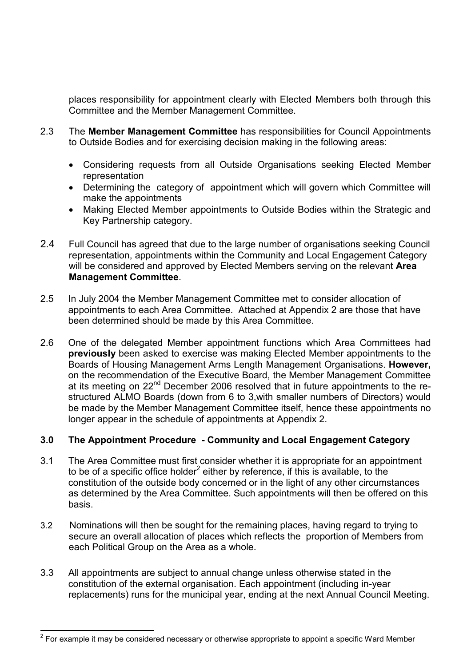places responsibility for appointment clearly with Elected Members both through this Committee and the Member Management Committee.

- 2.3 The Member Management Committee has responsibilities for Council Appointments to Outside Bodies and for exercising decision making in the following areas:
	- Considering requests from all Outside Organisations seeking Elected Member representation
	- Determining the category of appointment which will govern which Committee will make the appointments
	- Making Elected Member appointments to Outside Bodies within the Strategic and Key Partnership category.
- 2.4 Full Council has agreed that due to the large number of organisations seeking Council representation, appointments within the Community and Local Engagement Category will be considered and approved by Elected Members serving on the relevant Area Management Committee.
- 2.5 In July 2004 the Member Management Committee met to consider allocation of appointments to each Area Committee. Attached at Appendix 2 are those that have been determined should be made by this Area Committee.
- 2.6 One of the delegated Member appointment functions which Area Committees had previously been asked to exercise was making Elected Member appointments to the Boards of Housing Management Arms Length Management Organisations. However, on the recommendation of the Executive Board, the Member Management Committee at its meeting on 22<sup>nd</sup> December 2006 resolved that in future appointments to the restructured ALMO Boards (down from 6 to 3,with smaller numbers of Directors) would be made by the Member Management Committee itself, hence these appointments no longer appear in the schedule of appointments at Appendix 2.

### 3.0 The Appointment Procedure - Community and Local Engagement Category

- 3.1 The Area Committee must first consider whether it is appropriate for an appointment to be of a specific office holder<sup>2</sup> either by reference, if this is available, to the constitution of the outside body concerned or in the light of any other circumstances as determined by the Area Committee. Such appointments will then be offered on this basis.
- 3.2 Nominations will then be sought for the remaining places, having regard to trying to secure an overall allocation of places which reflects the proportion of Members from each Political Group on the Area as a whole.
- 3.3 All appointments are subject to annual change unless otherwise stated in the constitution of the external organisation. Each appointment (including in-year replacements) runs for the municipal year, ending at the next Annual Council Meeting.

  $^{2}$  For example it may be considered necessary or otherwise appropriate to appoint a specific Ward Member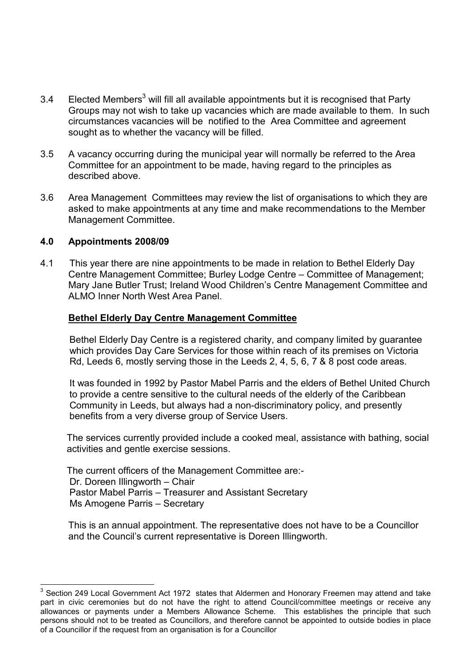- 3.4 Elected Members<sup>3</sup> will fill all available appointments but it is recognised that Party Groups may not wish to take up vacancies which are made available to them. In such circumstances vacancies will be notified to the Area Committee and agreement sought as to whether the vacancy will be filled.
- 3.5 A vacancy occurring during the municipal year will normally be referred to the Area Committee for an appointment to be made, having regard to the principles as described above.
- 3.6 Area Management Committees may review the list of organisations to which they are asked to make appointments at any time and make recommendations to the Member Management Committee.

### 4.0 Appointments 2008/09

 $\overline{a}$ 

4.1 This year there are nine appointments to be made in relation to Bethel Elderly Day Centre Management Committee; Burley Lodge Centre – Committee of Management; Mary Jane Butler Trust; Ireland Wood Children's Centre Management Committee and ALMO Inner North West Area Panel.

### Bethel Elderly Day Centre Management Committee

 Bethel Elderly Day Centre is a registered charity, and company limited by guarantee which provides Day Care Services for those within reach of its premises on Victoria Rd, Leeds 6, mostly serving those in the Leeds 2, 4, 5, 6, 7 & 8 post code areas.

 It was founded in 1992 by Pastor Mabel Parris and the elders of Bethel United Church to provide a centre sensitive to the cultural needs of the elderly of the Caribbean Community in Leeds, but always had a non-discriminatory policy, and presently benefits from a very diverse group of Service Users.

 The services currently provided include a cooked meal, assistance with bathing, social activities and gentle exercise sessions.

 The current officers of the Management Committee are:- Dr. Doreen Illingworth – Chair Pastor Mabel Parris – Treasurer and Assistant Secretary Ms Amogene Parris – Secretary

 This is an annual appointment. The representative does not have to be a Councillor and the Council's current representative is Doreen Illingworth.

<sup>3</sup> Section 249 Local Government Act 1972 states that Aldermen and Honorary Freemen may attend and take part in civic ceremonies but do not have the right to attend Council/committee meetings or receive any allowances or payments under a Members Allowance Scheme. This establishes the principle that such persons should not to be treated as Councillors, and therefore cannot be appointed to outside bodies in place of a Councillor if the request from an organisation is for a Councillor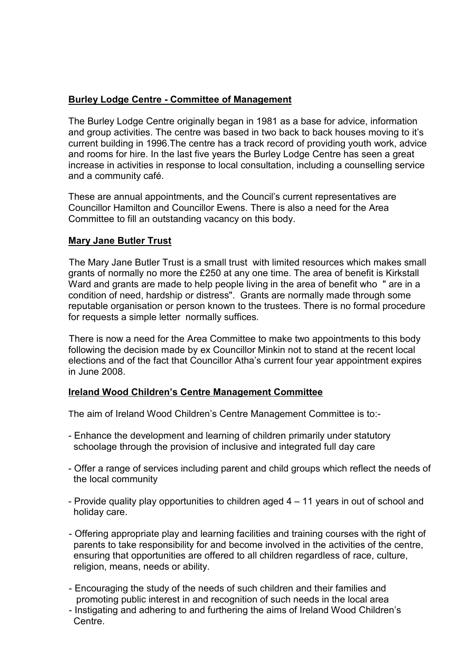### Burley Lodge Centre - Committee of Management

The Burley Lodge Centre originally began in 1981 as a base for advice, information and group activities. The centre was based in two back to back houses moving to it's current building in 1996.The centre has a track record of providing youth work, advice and rooms for hire. In the last five years the Burley Lodge Centre has seen a great increase in activities in response to local consultation, including a counselling service and a community café.

 These are annual appointments, and the Council's current representatives are Councillor Hamilton and Councillor Ewens. There is also a need for the Area Committee to fill an outstanding vacancy on this body.

### Mary Jane Butler Trust

The Mary Jane Butler Trust is a small trust with limited resources which makes small grants of normally no more the £250 at any one time. The area of benefit is Kirkstall Ward and grants are made to help people living in the area of benefit who " are in a condition of need, hardship or distress". Grants are normally made through some reputable organisation or person known to the trustees. There is no formal procedure for requests a simple letter normally suffices.

There is now a need for the Area Committee to make two appointments to this body following the decision made by ex Councillor Minkin not to stand at the recent local elections and of the fact that Councillor Atha's current four year appointment expires in June 2008.

### Ireland Wood Children's Centre Management Committee

The aim of Ireland Wood Children's Centre Management Committee is to:-

- Enhance the development and learning of children primarily under statutory schoolage through the provision of inclusive and integrated full day care
- Offer a range of services including parent and child groups which reflect the needs of the local community
- Provide quality play opportunities to children aged 4 11 years in out of school and holiday care.
- Offering appropriate play and learning facilities and training courses with the right of parents to take responsibility for and become involved in the activities of the centre, ensuring that opportunities are offered to all children regardless of race, culture, religion, means, needs or ability.
- Encouraging the study of the needs of such children and their families and promoting public interest in and recognition of such needs in the local area
- Instigating and adhering to and furthering the aims of Ireland Wood Children's Centre.